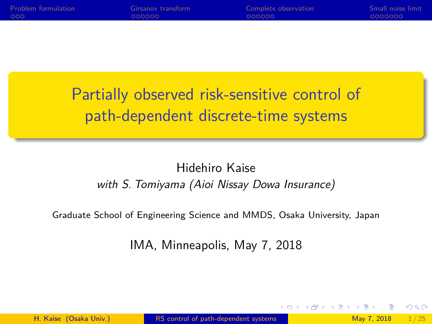<span id="page-0-0"></span>

| <b>Problem formulation</b> | Girsanov transform | Complete observation | Small noise limit |
|----------------------------|--------------------|----------------------|-------------------|
| 000                        | 000000             | 000000               | 0000000           |
|                            |                    |                      |                   |

Partially observed risk-sensitive control of path-dependent discrete-time systems

#### Hidehiro Kaise with S. Tomiyama (Aioi Nissay Dowa Insurance)

Graduate School of Engineering Science and MMDS, Osaka University, Japan

IMA, Minneapolis, May 7, 2018

 $200$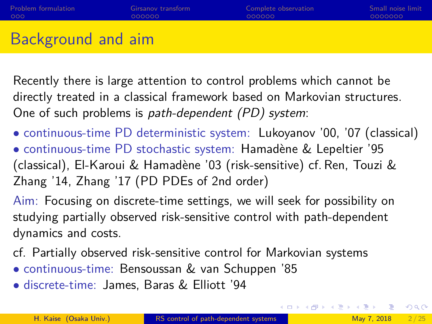# Background and aim

Recently there is large attention to control problems which cannot be directly treated in a classical framework based on Markovian structures. One of such problems is path-dependent (PD) system:

- continuous-time PD deterministic system: Lukoyanov '00, '07 (classical)
- continuous-time PD stochastic system: Hamadène & Lepeltier '95 (classical), El-Karoui & Hamadène '03 (risk-sensitive) cf. Ren, Touzi & Zhang '14, Zhang '17 (PD PDEs of 2nd order)

Aim: Focusing on discrete-time settings, we will seek for possibility on studying partially observed risk-sensitive control with path-dependent dynamics and costs.

- cf. Partially observed risk-sensitive control for Markovian systems
- continuous-time: Bensoussan & van Schuppen '85
- discrete-time: James, Baras & Elliott '94

 $QQ$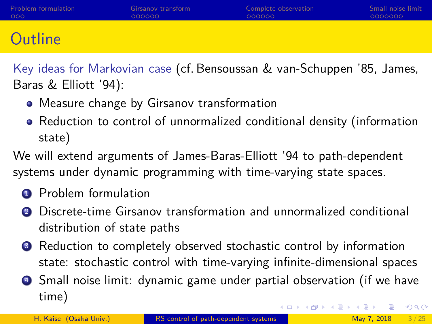| Problem formulation | Girsanov transform | Complete observation | Small noise limit |
|---------------------|--------------------|----------------------|-------------------|
| 000                 | OOOOOO             | 000000               | 0000000           |
|                     |                    |                      |                   |

# **Outline**

Key ideas for Markovian case (cf. Bensoussan & van-Schuppen '85, James, Baras & Elliott '94):

- Measure change by Girsanov transformation
- Reduction to control of unnormalized conditional density (information state)

We will extend arguments of James-Baras-Elliott '94 to path-dependent systems under dynamic programming with time-varying state spaces.

- **1** Problem formulation
- <sup>2</sup> Discrete-time Girsanov transformation and unnormalized conditional distribution of state paths
- **3** Reduction to completely observed stochastic control by information state: stochastic control with time-varying infinite-dimensional spaces
- <sup>4</sup> Small noise limit: dynamic game under partial observation (if we have time) (ロトメ部) × ミトメモ)  $QQQ$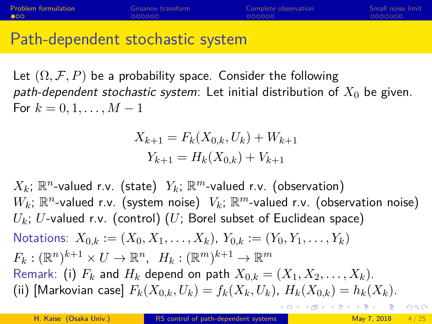<span id="page-3-0"></span>

| <b>Problem formulation</b> | Girsanov transform | Complete observation | Small noise limit |
|----------------------------|--------------------|----------------------|-------------------|
| $\bullet$ 00               | LOOOOOO            | LOOOOOO              | 0000000           |
|                            |                    |                      |                   |

Path-dependent stochastic system

Let  $(\Omega, \mathcal{F}, P)$  be a probability space. Consider the following path-dependent stochastic system: Let initial distribution of  $X_0$  be given. For  $k = 0, 1, ..., M - 1$ 

> $X_{k+1} = F_k(X_{0,k}, U_k) + W_{k+1}$  $Y_{k+1} = H_k(X_{0,k}) + V_{k+1}$

 $X_k$ ;  $\mathbb{R}^n$ -valued r.v. (state)  $\ Y_k$ ;  $\mathbb{R}^m$ -valued r.v. (observation)  $W_k$ ;  $\mathbb{R}^n$ -valued r.v. (system noise)  $\;V_k\text{;}\;\mathbb{R}^m\text{-}\mathsf{valued}$  r.v. (observation noise)  $U_k$ ; U-valued r.v. (control) (U; Borel subset of Euclidean space) Notations:  $X_{0,k} := (X_0, X_1, \ldots, X_k), Y_{0,k} := (Y_0, Y_1, \ldots, Y_k)$  $F_k: (\mathbb{R}^n)^{k+1} \times U \to \mathbb{R}^n$ ,  $H_k: (\mathbb{R}^m)^{k+1} \to \mathbb{R}^m$ Remark: (i)  $F_k$  and  $H_k$  depend on path  $X_{0,k} = (X_1, X_2, \ldots, X_k)$ . (ii) [Markovian case]  $F_{k}(X_{0,k}, U_{k}) = f_{k}(X_{k}, U_{k}), H_{k}(X_{0,k}) = h_{k}(X_{k}).$ ◆ロト→個ト→老ト→老ト 三重  $QQ$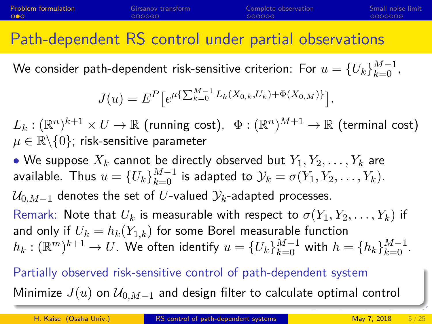# Path-dependent RS control under partial observations

We consider path-dependent risk-sensitive criterion: For  $u=\{U_k\}_{k=0}^{M-1}$  ,

$$
J(u) = E^{P} \left[ e^{\mu \left\{ \sum_{k=0}^{M-1} L_{k}(X_{0,k}, U_{k}) + \Phi(X_{0,M}) \right\}} \right].
$$

 $L_k: (\mathbb{R}^n)^{k+1} \times U \to \mathbb{R}$  (running cost),  $\; \Phi: (\mathbb{R}^n)^{M+1} \to \mathbb{R}$  (terminal cost)  $\mu \in \mathbb{R} \backslash \{0\}$ ; risk-sensitive parameter

• We suppose  $X_k$  cannot be directly observed but  $Y_1, Y_2, \ldots, Y_k$  are available. Thus  $u = \{U_k\}_{k=0}^{M-1}$  is adapted to  $\mathcal{Y}_k = \sigma(Y_1, Y_2, \ldots, Y_k)$ .  $\mathcal{U}_{0,M-1}$  denotes the set of U-valued  $\mathcal{Y}_k$ -adapted processes. Remark: Note that  $U_k$  is measurable with respect to  $\sigma(Y_1, Y_2, \ldots, Y_k)$  if and only if  $U_k = h_k(Y_{1,k})$  for some Borel measurable function  $h_k: (\mathbb{R}^m)^{k+1} \rightarrow U.$  We often identify  $u = \{U_k\}_{k=0}^{M-1}$  with  $h = \{h_k\}_{k=0}^{M-1}.$ 

Partially observed risk-sensitive control of path-dependent system Minimize  $J(u)$  on  $\mathcal{U}_{0,M-1}$  and design filter to calculate optimal control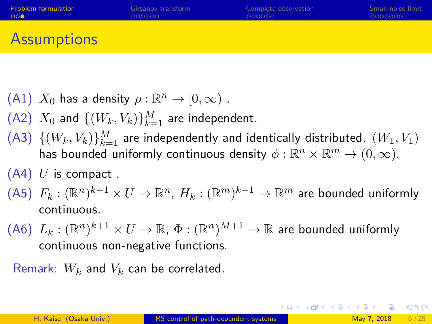<span id="page-5-0"></span>

| <b>Problem formulation</b> | Girsanov transform | Complete observation | Small noise limit |
|----------------------------|--------------------|----------------------|-------------------|
| ം റെ                       | 000000             | 000000               | 0000000           |
|                            |                    |                      |                   |

## Assumptions

- (A1)  $X_0$  has a density  $\rho : \mathbb{R}^n \to [0, \infty)$ .
- (A2)  $X_0$  and  $\{(W_k, V_k)\}_{k=1}^M$  are independent.
- $($ A3 $)$   $\{ (W_k, V_k) \}_{k=1}^{M}$  are independently and identically distributed.  $(W_1, V_1)$ has bounded uniformly continuous density  $\phi: \mathbb{R}^n \times \mathbb{R}^m \to (0,\infty).$
- $(A4)$  U is compact.
- $\,$   $(A5)\ \ F_{k}:({\mathbb R}^{n})^{k+1}\times U\rightarrow {\mathbb R}^{n},\ H_{k}:({\mathbb R}^{m})^{k+1}\rightarrow {\mathbb R}^{m}$  are bounded uniformly continuous.
- $\,$   $(A6)\;$   $L_k:({\mathbb R}^n)^{k+1}\times U\rightarrow {\mathbb R},\,\Phi:({\mathbb R}^n)^{M+1}\rightarrow {\mathbb R}$  are bounded uniformly continuous non-negative functions.

Remark:  $W_k$  and  $V_k$  can be correlated.

K ロ ▶ K 個 ▶ K 로 ▶ K 로 ▶ 『 콘 』 K) Q Q Q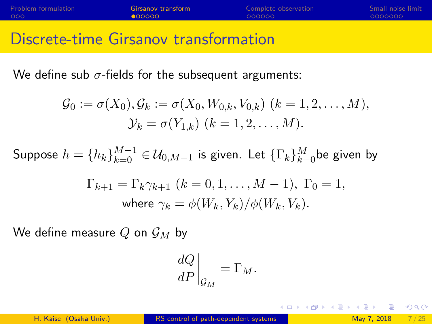<span id="page-6-0"></span>

| Problem formulation | Girsanov transform | Complete observation | Small noise limit |
|---------------------|--------------------|----------------------|-------------------|
| 000                 | 000000             | 000000               | 0000000           |
|                     |                    |                      |                   |

## Discrete-time Girsanov transformation

We define sub  $\sigma$ -fields for the subsequent arguments:

$$
\mathcal{G}_0 := \sigma(X_0), \mathcal{G}_k := \sigma(X_0, W_{0,k}, V_{0,k}) \ (k = 1, 2, \dots, M), \n\mathcal{Y}_k = \sigma(Y_{1,k}) \ (k = 1, 2, \dots, M).
$$

Suppose  $h=\{h_k\}_{k=0}^{M-1}\in \mathcal{U}_{0,M-1}$  is given. Let  $\{\Gamma_k\}_{k=0}^M$ be given by

$$
\Gamma_{k+1} = \Gamma_k \gamma_{k+1} \ (k = 0, 1, \dots, M - 1), \ \Gamma_0 = 1, \n\text{where } \gamma_k = \phi(W_k, Y_k) / \phi(W_k, V_k).
$$

We define measure Q on  $\mathcal{G}_M$  by

$$
\left. \frac{dQ}{dP} \right|_{\mathcal{G}_M} = \Gamma_M.
$$

 $\Omega$ 

(ロ) (個) (星) (星)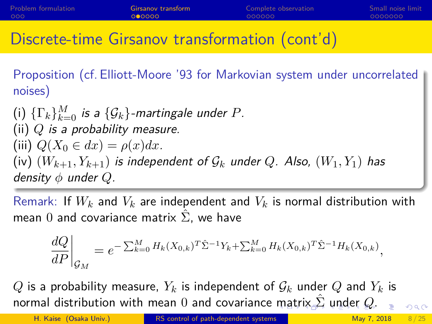# <span id="page-7-0"></span>Discrete-time Girsanov transformation (cont'd)

Proposition (cf. Elliott-Moore '93 for Markovian system under uncorrelated noises)

 $(\mathsf{i})$   $\{\Gamma_k\}_{k=0}^M$  is a  $\{\mathcal{G}_k\}$ -martingale under  $P$ . (ii)  $Q$  is a probability measure. (iii)  $Q(X_0 \in dx) = \rho(x)dx$ . (iv)  $(W_{k+1}, Y_{k+1})$  is independent of  $\mathcal{G}_k$  under  $Q$ . Also,  $(W_1, Y_1)$  has density  $\phi$  under  $Q$ .

Remark: If  $W_k$  and  $V_k$  are independent and  $V_k$  is normal distribution with mean 0 and covariance matrix  $\Sigma$ , we have

$$
\left. \frac{dQ}{dP} \right|_{\mathcal{G}_M} = e^{-\sum_{k=0}^M H_k(X_{0,k})^T \hat{\Sigma}^{-1} Y_k + \sum_{k=0}^M H_k(X_{0,k})^T \hat{\Sigma}^{-1} H_k(X_{0,k})},
$$

Q is a probability measure,  $Y_k$  is independent of  $\mathcal{G}_k$  under Q and  $Y_k$  is normal distribution with [m](#page-6-0)ean 0 and covariance m[atr](#page-8-0)[ix](#page-6-0)  $\Sigma$  [u](#page-5-0)[n](#page-6-0)[d](#page-11-0)[e](#page-12-0)[r](#page-5-0) [Q](#page-11-0).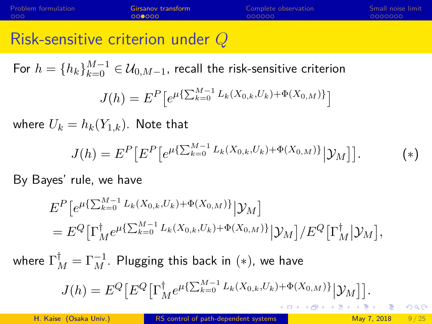<span id="page-8-0"></span>

| Problem formulation | Girsanov transform | Complete observation | Small noise limit |
|---------------------|--------------------|----------------------|-------------------|
| 000                 | 000000             | 000000               | 0000000           |
|                     |                    |                      |                   |

### Risk-sensitive criterion under Q

For  $h=\{h_k\}_{k=0}^{M-1}\in \mathcal{U}_{0,M-1}$ , recall the risk-sensitive criterion

$$
J(h) = E^{P} \left[ e^{\mu \left\{ \sum_{k=0}^{M-1} L_{k}(X_{0,k}, U_{k}) + \Phi(X_{0,M}) \right\}} \right]
$$

where  $U_k = h_k(Y_{1,k})$ . Note that

$$
J(h) = E^{P} \left[ E^{P} \left[ e^{\mu \left\{ \sum_{k=0}^{M-1} L_{k}(X_{0,k}, U_{k}) + \Phi(X_{0,M}) \right\}} \middle| \mathcal{Y}_{M} \right] \right]. \tag{*}
$$

By Bayes' rule, we have

$$
E^{P}[e^{\mu\{\sum_{k=0}^{M-1}L_{k}(X_{0,k},U_{k})+\Phi(X_{0,M})\}}|\mathcal{Y}_{M}]
$$
  
=  $E^{Q}[\Gamma_{M}^{\dagger}e^{\mu\{\sum_{k=0}^{M-1}L_{k}(X_{0,k},U_{k})+\Phi(X_{0,M})\}}|\mathcal{Y}_{M}]/E^{Q}[\Gamma_{M}^{\dagger}|\mathcal{Y}_{M}],$ 

where  $\Gamma_M^\dagger=\Gamma_M^{-1}.$  Plugging this back in  $(*)$ , we have

$$
J(h) = E^{Q} \big[ E^{Q} \big[ \Gamma_M^{\dagger} e^{\mu \{\sum_{k=0}^{M-1} L_k(X_{0,k}, U_k) + \Phi(X_{0,M})\}} \big| \mathcal{Y}_M \big] \big].
$$

 $QQ$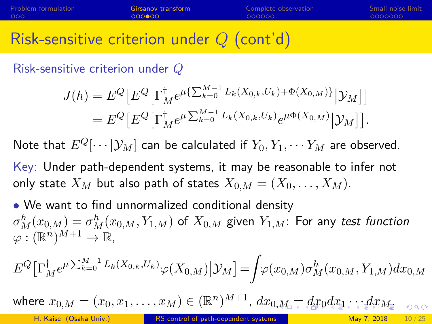### <span id="page-9-0"></span>Risk-sensitive criterion under  $Q$  (cont'd)

Risk-sensitive criterion under Q

$$
J(h) = E^{Q} \left[ E^{Q} \left[ \Gamma_M^{\dagger} e^{\mu \{ \sum_{k=0}^{M-1} L_k(X_{0,k}, U_k) + \Phi(X_{0,M}) \}} |\mathcal{Y}_M \right] \right]
$$
  
= 
$$
E^{Q} \left[ E^{Q} \left[ \Gamma_M^{\dagger} e^{\mu \sum_{k=0}^{M-1} L_k(X_{0,k}, U_k)} e^{\mu \Phi(X_{0,M})} |\mathcal{Y}_M \right] \right].
$$

Note that  $E^Q[\cdots|\mathcal{Y}_M]$  can be calculated if  $Y_0, Y_1, \cdots Y_M$  are observed.

Key: Under path-dependent systems, it may be reasonable to infer not only state  $X_M$  but also path of states  $X_{0,M} = (X_0, \ldots, X_M)$ .

• We want to find unnormalized conditional density  $\sigma^h_M(x_{0,M})=\sigma^h_M(x_{0,M},Y_{1,M})$  of  $X_{0,M}$  given  $Y_{1,M}$ : For any *test function*  $\varphi: (\mathbb{R}^n)^{M+1} \to \mathbb{R},$ 

$$
E^{Q}\big[\Gamma_{M}^{\dagger}e^{\mu\sum_{k=0}^{M-1}L_{k}(X_{0,k},U_{k})}\varphi(X_{0,M})\big|\mathcal{Y}_{M}\big]=\!\!\int\!\!\varphi(x_{0,M})\sigma_{M}^{h}(x_{0,M},Y_{1,M})dx_{0,M}
$$

where $x_{0,M}=(x_0,x_1,\ldots,x_M)\in (\mathbb{R}^n)^{M+1}$  $x_{0,M}=(x_0,x_1,\ldots,x_M)\in (\mathbb{R}^n)^{M+1}$  $x_{0,M}=(x_0,x_1,\ldots,x_M)\in (\mathbb{R}^n)^{M+1}$  $x_{0,M}=(x_0,x_1,\ldots,x_M)\in (\mathbb{R}^n)^{M+1}$  $x_{0,M}=(x_0,x_1,\ldots,x_M)\in (\mathbb{R}^n)^{M+1}$  $x_{0,M}=(x_0,x_1,\ldots,x_M)\in (\mathbb{R}^n)^{M+1}$  $x_{0,M}=(x_0,x_1,\ldots,x_M)\in (\mathbb{R}^n)^{M+1}$  $x_{0,M}=(x_0,x_1,\ldots,x_M)\in (\mathbb{R}^n)^{M+1}$  $x_{0,M}=(x_0,x_1,\ldots,x_M)\in (\mathbb{R}^n)^{M+1}$  $x_{0,M}=(x_0,x_1,\ldots,x_M)\in (\mathbb{R}^n)^{M+1}$  $x_{0,M}=(x_0,x_1,\ldots,x_M)\in (\mathbb{R}^n)^{M+1}$  $x_{0,M}=(x_0,x_1,\ldots,x_M)\in (\mathbb{R}^n)^{M+1}$  $x_{0,M}=(x_0,x_1,\ldots,x_M)\in (\mathbb{R}^n)^{M+1}$ ,  $dx_{0,M}=\displaystyle{dx_0dx_1\cdots dx_{M_\Xi}}$  $dx_{0,M}=\displaystyle{dx_0dx_1\cdots dx_{M_\Xi}}$  $dx_{0,M}=\displaystyle{dx_0dx_1\cdots dx_{M_\Xi}}$  $dx_{0,M}=\displaystyle{dx_0dx_1\cdots dx_{M_\Xi}}$  $2990$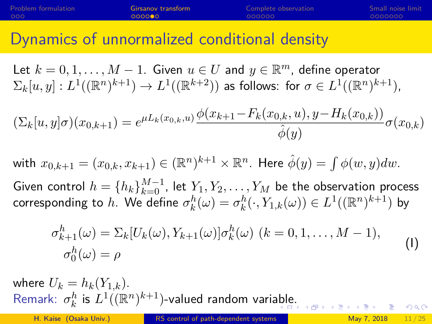### <span id="page-10-0"></span>Dynamics of unnormalized conditional density

Let  $k = 0, 1, \ldots, M - 1$ . Given  $u \in U$  and  $y \in \mathbb{R}^m$ , define operator  $\Sigma_k[u,y]:L^1((\mathbb{R}^n)^{k+1})\to L^1((\mathbb{R}^{k+2}))$  as follows: for  $\sigma\in L^1((\mathbb{R}^n)^{k+1})$ ,

$$
(\Sigma_k[u, y]\sigma)(x_{0,k+1}) = e^{\mu L_k(x_{0,k}, u)} \frac{\phi(x_{k+1} - F_k(x_{0,k}, u), y - H_k(x_{0,k}))}{\hat{\phi}(y)} \sigma(x_{0,k})
$$

with  $x_{0,k+1}=(x_{0,k},x_{k+1})\in (\mathbb{R}^n)^{k+1}\times \mathbb{R}^n.$  Here  $\hat{\phi}(y)=\int \phi(w,y)dw.$ 

Given control  $h=\{h_k\}_{k=0}^{M-1}$ , let  $Y_1,Y_2,\ldots,Y_M$  be the observation process corresponding to  $h.$  We define  $\sigma_k^h(\omega)=\sigma_k^h(\cdot,Y_{1,k}(\omega))\in L^1((\mathbb{R}^n)^{k+1})$  by

$$
\sigma_{k+1}^h(\omega) = \sum_k [U_k(\omega), Y_{k+1}(\omega)] \sigma_k^h(\omega) \ (k = 0, 1, \dots, M-1),
$$
  
\n
$$
\sigma_0^h(\omega) = \rho
$$
 (I)

where  $U_k = h_k(Y_{1,k}).$ Remark:  $\sigma_k^h$  is  $L^1((\mathbb{R}^n)^{k+1})$ -valued random vari[abl](#page-9-0)[e.](#page-11-0)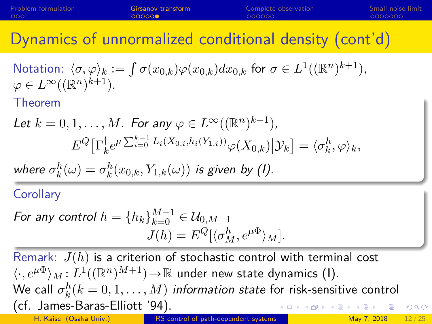<span id="page-11-0"></span>

| Problem formulation | Girsanov transform | Complete observation | Small noise limit |
|---------------------|--------------------|----------------------|-------------------|
| 000                 | 000000             | 000000               | 0000000           |
|                     |                    |                      |                   |

Dynamics of unnormalized conditional density (cont'd)

Notation: 
$$
\langle \sigma, \varphi \rangle_k := \int \sigma(x_{0,k}) \varphi(x_{0,k}) dx_{0,k}
$$
 for  $\sigma \in L^1((\mathbb{R}^n)^{k+1}),$   
 $\varphi \in L^\infty((\mathbb{R}^n)^{k+1}).$   
Theorem

Let 
$$
k = 0, 1, ..., M
$$
. For any  $\varphi \in L^{\infty}((\mathbb{R}^n)^{k+1})$ ,  
\n
$$
E^{Q}[\Gamma_{k}^{\dagger}e^{\mu\sum_{i=0}^{k-1}L_{i}(X_{0,i}, h_{i}(Y_{1,i}))}\varphi(X_{0,k})|\mathcal{Y}_{k}] = \langle \sigma_{k}^{h}, \varphi \rangle_{k},
$$
\nwhere  $\sigma_{k}^{h}(\omega) = \sigma_{k}^{h}(x_{0,k}, Y_{1,k}(\omega))$  is given by (I).

**Corollary** 

For any control 
$$
h = \{h_k\}_{k=0}^{M-1} \in \mathcal{U}_{0,M-1}
$$
  

$$
J(h) = E^Q[\langle \sigma_M^h, e^{\mu \Phi} \rangle_M].
$$

Remark:  $J(h)$  is a criterion of stochastic control with terminal cost  $\langle \cdot, e^{\mu \Phi} \rangle_M \colon L^1((\mathbb{R}^n)^{M+1}) \! \to \! \mathbb{R}$  under new state dynamics (I). We call  $\sigma_k^h (k=0,1,\ldots,M)$  information state for risk-sensitive control (cf. James-Baras-Elliott '94).  $QQQ$ H. Kaise (Osaka Univ.) [RS control of path-dependent systems](#page-0-0) May 7, 2018 12/25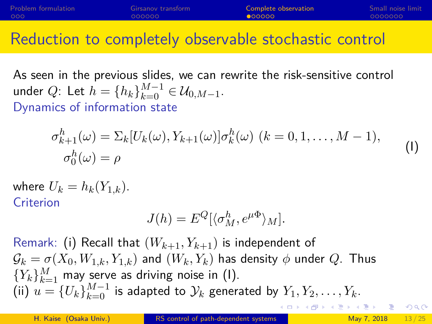<span id="page-12-0"></span>

| Problem formulation | Girsanov transform | Complete observation | Small noise limit |
|---------------------|--------------------|----------------------|-------------------|
| 000                 | 000000             | 00000                | 0000000           |
|                     |                    |                      |                   |

### Reduction to completely observable stochastic control

As seen in the previous slides, we can rewrite the risk-sensitive control under Q: Let  $h = \{h_k\}_{k=0}^{M-1} \in \mathcal{U}_{0,M-1}$ . Dynamics of information state

$$
\sigma_{k+1}^h(\omega) = \sum_k [U_k(\omega), Y_{k+1}(\omega)] \sigma_k^h(\omega) \ (k = 0, 1, \dots, M-1),
$$
  
\n
$$
\sigma_0^h(\omega) = \rho
$$
 (I)

where  $U_k = h_k(Y_{1,k})$ . **Criterion** 

$$
J(h) = E^{Q}[\langle \sigma_M^h, e^{\mu \Phi} \rangle_M].
$$

Remark: (i) Recall that  $(W_{k+1}, Y_{k+1})$  is independent of  $\mathcal{G}_k = \sigma(X_0, W_{1,k}, Y_{1,k})$  and  $(W_k, Y_k)$  has density  $\phi$  under  $Q$ . Thus  ${Y_k}_{k=1}^M$  may serve as driving noise in (I). (ii)  $u = \{U_k\}_{k=0}^{M-1}$  is adapted to  $\mathcal{Y}_k$  generated by  $Y_1, Y_2, \ldots, Y_k$ . KIL KALA ILIKI ILIKA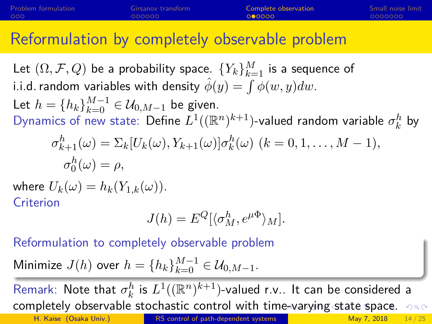<span id="page-13-0"></span>

| Problem formulation | Girsanov transform | Complete observation | Small noise limit |
|---------------------|--------------------|----------------------|-------------------|
| 000                 | 000000             | 000000               | LOOOOOOO          |
|                     |                    |                      |                   |

### Reformulation by completely observable problem

Let  $(\Omega, \mathcal{F}, Q)$  be a probability space.  $\{Y_k\}_{k=1}^M$  is a sequence of i.i.d. random variables with density  $\hat{\phi}(y) = \int \phi(w, y) dw.$ Let  $h = \{h_k\}_{k=0}^{M-1} \in \mathcal{U}_{0,M-1}$  be given.

Dynamics of new state: Define  $L^1((\mathbb R^n)^{k+1})$ -valued random variable  $\sigma_k^h$  by

$$
\sigma_{k+1}^h(\omega) = \sum_k [U_k(\omega), Y_{k+1}(\omega)] \sigma_k^h(\omega) \ (k = 0, 1, \dots, M-1),
$$
  

$$
\sigma_0^h(\omega) = \rho,
$$

where  $U_k(\omega) = h_k(Y_{1,k}(\omega))$ . Criterion

$$
J(h) = E^{Q}[\langle \sigma_M^h, e^{\mu \Phi} \rangle_M].
$$

Reformulation to completely observable problem

Minimize 
$$
J(h)
$$
 over  $h = \{h_k\}_{k=0}^{M-1} \in \mathcal{U}_{0,M-1}$ .

Remark: Note that  $\sigma_k^h$  is  $L^1((\mathbb{R}^n)^{k+1})$ -valued r.v.. It can be considered a completelyobservable stochastic control with ti[me](#page-12-0)-[va](#page-14-0)[r](#page-12-0)[yin](#page-13-0)[g](#page-14-0) [s](#page-17-0)[t](#page-17-0)[at](#page-18-0)[e](#page-11-0) s[p](#page-18-0)[ac](#page-0-0)[e.](#page-24-0)  $\circ \circ \circ$ H. Kaise (Osaka Univ.) [RS control of path-dependent systems](#page-0-0) May 7, 2018 14/25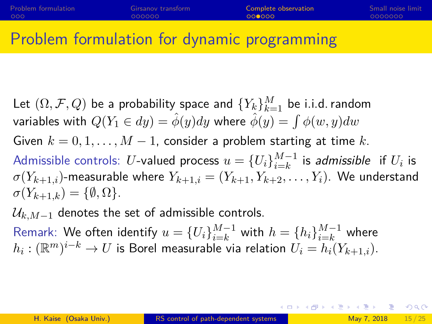### <span id="page-14-0"></span>Problem formulation for dynamic programming

Let  $(\Omega, \mathcal{F}, Q)$  be a probability space and  $\{Y_k\}_{k=1}^M$  be i.i.d. random variables with  $Q(Y_1 \in dy) = \hat{\phi}(y) dy$  where  $\hat{\phi}(y) = \int \phi(w, y) dw$ Given  $k = 0, 1, ..., M - 1$ , consider a problem starting at time k. Admissible controls:  $U$ -valued process  $u=\{U_i\}_{i=k}^{M-1}$  $\frac{M-1}{i=k}$  is admissible if  $U_i$  is  $\sigma(Y_{k+1,i})$ -measurable where  $Y_{k+1,i} = (Y_{k+1}, Y_{k+2}, \ldots, Y_i)$ . We understand  $\sigma(Y_{k+1,k}) = \{\emptyset, \Omega\}.$ 

 $\mathcal{U}_{k,M-1}$  denotes the set of admissible controls.

Remark: We often identify  $u=\{U_i\}_{i=k}^{M-1}$  with  $h=\{h_i\}_{i=k}^{M-1}$  where  $h_i: (\mathbb{R}^m)^{i-k} \to U$  is Borel measurable via relation  $U_i = h_i(Y_{k+1,i}).$ 

K ロ ▶ K 個 ▶ K 로 ▶ K 로 ▶ 『 콘 』 K) Q Q Q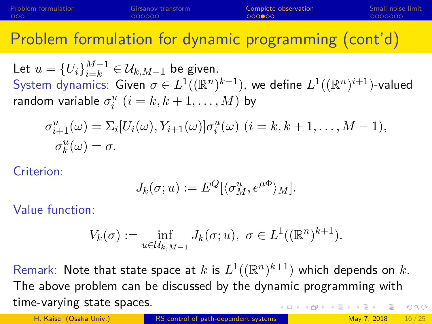| Problem formulation | Girsanov transform | Complete observation | Small noise limit |
|---------------------|--------------------|----------------------|-------------------|
| 000                 | 000000             | 000000               | 0000000           |
|                     |                    |                      |                   |

Problem formulation for dynamic programming (cont'd)

Let  $u = \{U_i\}_{i=k}^{M-1} \in \mathcal{U}_{k,M-1}$  be given. System dynamics: Given  $\sigma \in L^1((\mathbb{R}^n)^{k+1})$ , we define  $L^1((\mathbb{R}^n)^{i+1})$ -valued random variable  $\sigma_i^u$   $(i = k, k + 1, \ldots, M)$  by

$$
\sigma_{i+1}^u(\omega) = \sum_i [U_i(\omega), Y_{i+1}(\omega)] \sigma_i^u(\omega) \ (i = k, k+1, \dots, M-1),
$$
  
\n
$$
\sigma_k^u(\omega) = \sigma.
$$

Criterion:

$$
J_k(\sigma; u) := E^Q[\langle \sigma_M^u, e^{\mu \Phi} \rangle_M].
$$

Value function:

$$
V_k(\sigma) := \inf_{u \in \mathcal{U}_{k,M-1}} J_k(\sigma; u), \ \sigma \in L^1((\mathbb{R}^n)^{k+1}).
$$

Remark: Note that state space at  $k$  is  $L^1((\mathbb{R}^n)^{k+1})$  which depends on  $k.$ The above problem can be discussed by the dynamic programming with time-varying state spaces.  $QQQ$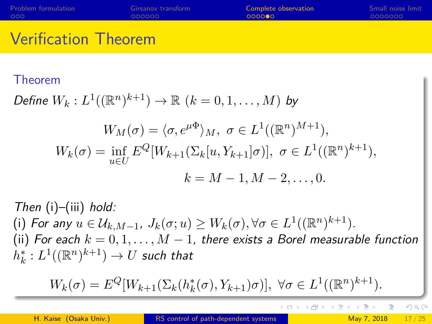| <b>Problem formulation</b> | Girsanov transform | Complete observation | Small noise limit |
|----------------------------|--------------------|----------------------|-------------------|
| - റററ                      | 000000             | 000000               | 0000000           |
|                            |                    |                      |                   |

## Verification Theorem

#### Theorem

Define 
$$
W_k: L^1((\mathbb{R}^n)^{k+1}) \to \mathbb{R}
$$
  $(k = 0, 1, ..., M)$  by

$$
W_M(\sigma) = \langle \sigma, e^{\mu \Phi} \rangle_M, \ \sigma \in L^1((\mathbb{R}^n)^{M+1}),
$$
  

$$
W_k(\sigma) = \inf_{u \in U} E^Q[W_{k+1}(\Sigma_k[u, Y_{k+1}]\sigma)], \ \sigma \in L^1((\mathbb{R}^n)^{k+1}),
$$
  

$$
k = M - 1, M - 2, \dots, 0.
$$

Then  $(i)$ – $(iii)$  hold: (i) For any  $u \in \mathcal{U}_{k,M-1}$ ,  $J_k(\sigma; u) \geq W_k(\sigma), \forall \sigma \in L^1((\mathbb{R}^n)^{k+1})$ . (ii) For each  $k = 0, 1, ..., M - 1$ , there exists a Borel measurable function  $h_k^*:L^1((\mathbb{R}^n)^{k+1})\to U$  such that

$$
W_k(\sigma) = E^Q[W_{k+1}(\Sigma_k(h_k^*(\sigma), Y_{k+1})\sigma)], \ \forall \sigma \in L^1((\mathbb{R}^n)^{k+1}).
$$

 $QQ$ 

 $\langle \overline{m} \rangle$   $\langle \overline{m} \rangle$ 

4日下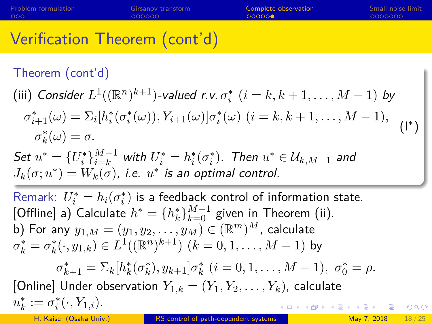<span id="page-17-0"></span>

| Problem formulation | Girsanov transform | Complete observation | Small noise limit |
|---------------------|--------------------|----------------------|-------------------|
| 000                 | 000000             | <b>OOOOOO</b>        | 0000000           |
|                     |                    |                      |                   |

## Verification Theorem (cont'd)

### Theorem (cont'd)

(iii) Consider  $L^1((\mathbb{R}^n)^{k+1})$ -valued r.v.  $\sigma_i^*$   $(i = k, k + 1, \ldots, M - 1)$  by

$$
\sigma_{i+1}^*(\omega) = \sum_i [h_i^*(\sigma_i^*(\omega)), Y_{i+1}(\omega)] \sigma_i^*(\omega) \ (i = k, k+1, \dots, M-1),
$$
  

$$
\sigma_k^*(\omega) = \sigma.
$$
 (I\*)

Set  $u^* = \{U_i^*\}_{i=k}^{M-1}$  with  $U_i^* = h_i^*(\sigma_i^*)$ . Then  $u^* \in \mathcal{U}_{k,M-1}$  and  $J_k(\sigma;u^*)=W_k(\sigma)$ , i.e.  $u^*$  is an optimal control.

Remark:  $U_i^* = h_i(\sigma_i^*)$  is a feedback control of information state. [Offline] a) Calculate  $h^* = \{h_k^*\}_{k=0}^{M-1}$  given in Theorem (ii). b) For any  $y_{1,M}=(y_1,y_2,\ldots,y_M)\in(\mathbb{R}^m)^M$ , calculate  $\sigma_k^* = \sigma_k^*(\cdot, y_{1,k}) \in L^1((\mathbb{R}^n)^{k+1}) \; (k = 0, 1, \ldots, M-1)$  by  $\sigma_{k+1}^* = \sum_k [h_k^*(\sigma_k^*), y_{k+1}] \sigma_k^*$   $(i = 0, 1, ..., M - 1), \sigma_0^* = \rho.$ [Online] Under observation  $Y_{1,k} = (Y_1, Y_2, \ldots, Y_k)$ , calculate  $u_k^* := \sigma_i^*(\cdot, Y_{1,i}).$  $\left\{ \begin{array}{ccc} \square & \rightarrow & \left\{ \bigoplus \bullet & \leftarrow \Xi \right\} & \rightarrow & \left\{ \Xi \right\} & \longrightarrow & \Xi \end{array} \right.$  $200$ H. Kaise (Osaka Univ.) [RS control of path-dependent systems](#page-0-0) May 7, 2018 18/25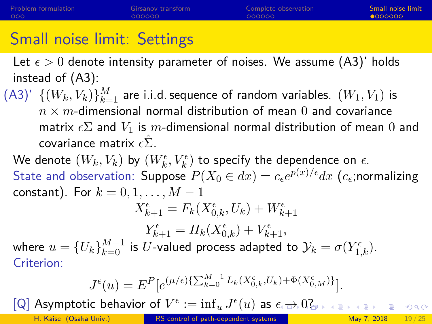# <span id="page-18-0"></span>Small noise limit: Settings

Let  $\epsilon > 0$  denote intensity parameter of noises. We assume (A3)' holds instead of (A3):

 $(A3)'$   $\{(W_k,V_k)\}_{k=1}^M$  are i.i.d. sequence of random variables.  $(W_1,V_1)$  is  $n \times m$ -dimensional normal distribution of mean 0 and covariance matrix  $\epsilon \Sigma$  and  $V_1$  is m-dimensional normal distribution of mean 0 and covariance matrix  $\epsilon \hat{\Sigma}$ .

We denote  $(W_k,V_k)$  by  $(W_k^\epsilon,V_k^\epsilon)$  to specify the dependence on  $\epsilon.$ State and observation: <code>Suppose</code>  $P(X_0 \in dx) = c_\epsilon e^{p(x)/\epsilon} dx$   $(c_\epsilon;$ normalizing constant). For  $k = 0, 1, \ldots, M - 1$  $X_{k+1}^{\epsilon} = F_k(X_{0,k}^{\epsilon}, U_k) + W_{k+1}^{\epsilon}$ 

 $Y_{k+1}^{\epsilon} = H_k(X_{0,k}^{\epsilon}) + V_{k+1}^{\epsilon},$ where  $u=\{U_k\}_{k=0}^{M-1}$  is  $U$ -valued process adapted to  $\mathcal{Y}_k=\sigma(Y_{1,k}^{\epsilon}).$ Criterion:

$$
J^{\epsilon}(u) = E^{P}[e^{(\mu/\epsilon)\{\sum_{k=0}^{M-1}L_{k}(X_{0,k}^{\epsilon},U_{k})+\Phi(X_{0,M}^{\epsilon})\}}].
$$

 $[{\mathsf Q}]$  Asymptotic behavior of  $V^\epsilon:=\inf_u J^\epsilon(u)$  as  $\epsilon\mapsto 0$  $\epsilon\mapsto 0$ [?](#page-18-0)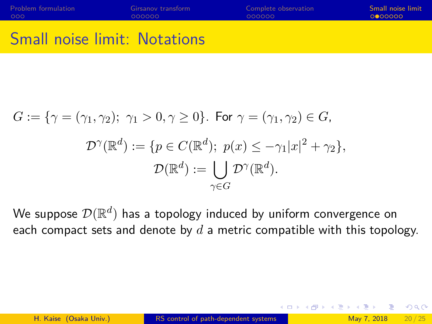<span id="page-19-0"></span>

| Problem formulation | Girsanov transform | Complete observation | Small noise limit |
|---------------------|--------------------|----------------------|-------------------|
| 000                 | 000000             | 000000               | 0000000           |
|                     |                    |                      |                   |

## Small noise limit: Notations

$$
G := \{ \gamma = (\gamma_1, \gamma_2); \ \gamma_1 > 0, \gamma \ge 0 \}. \text{ For } \gamma = (\gamma_1, \gamma_2) \in G,
$$

$$
\mathcal{D}^{\gamma}(\mathbb{R}^d) := \{ p \in C(\mathbb{R}^d); \ p(x) \le -\gamma_1 |x|^2 + \gamma_2 \},
$$

$$
\mathcal{D}(\mathbb{R}^d) := \bigcup_{\gamma \in G} \mathcal{D}^{\gamma}(\mathbb{R}^d).
$$

We suppose  $\mathcal{D}(\mathbb{R}^d)$  has a topology induced by uniform convergence on each compact sets and denote by  $d$  a metric compatible with this topology.

 $\Omega$ 

∢ 何 ▶ -∢ ヨ ▶ -∢ ヨ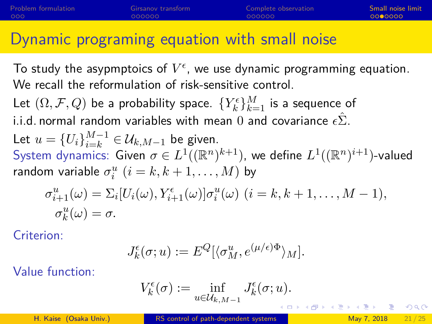### <span id="page-20-0"></span>Dynamic programing equation with small noise

To study the asypmptoics of  $V^\epsilon$ , we use dynamic programming equation. We recall the reformulation of risk-sensitive control. Let  $(\Omega, \mathcal{F}, Q)$  be a probability space.  $\{Y_k^\epsilon\}_{k=1}^M$  is a sequence of i.i.d. normal random variables with mean 0 and covariance  $\epsilon \hat{\Sigma}$ . Let  $u = \{U_i\}_{i=k}^{M-1} \in \mathcal{U}_{k,M-1}$  be given. System dynamics: Given  $\sigma \in L^1((\mathbb{R}^n)^{k+1})$ , we define  $L^1((\mathbb{R}^n)^{i+1})$ -valued random variable  $\sigma_i^u$   $(i = k, k + 1, \ldots, M)$  by  $\sigma_{i+1}^u(\omega) = \sum_i [U_i(\omega), Y_{i+1}^{\epsilon}(\omega)] \sigma_i^u(\omega) \ (i = k, k+1, \ldots, M-1),$  $\sigma_k^u(\omega) = \sigma.$ 

Criterion:

$$
J_k^\epsilon(\sigma;u):=E^Q[\langle\sigma_M^u,e^{(\mu/\epsilon)\Phi}\rangle_M].
$$

Value function:

$$
V_k^\epsilon(\sigma):=\inf_{u\in\mathcal{U}_{k,M-1}}J_k^\epsilon(\sigma;u).
$$

H. Kaise (Osaka Univ.) [RS control of path-dependent systems](#page-0-0) May 7, 2018 21/25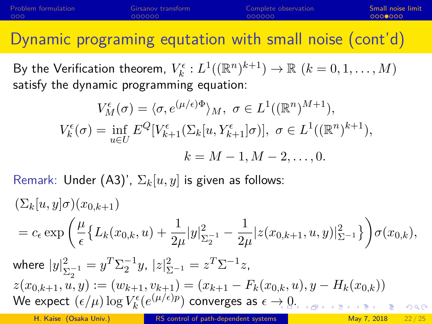| Problem formulation | Girsanov transform | Complete observation | Small noise limit |
|---------------------|--------------------|----------------------|-------------------|
| 000                 | 000000             | 000000               | 00000000          |
|                     |                    |                      |                   |

Dynamic programing equtation with small noise (cont'd)

By the Verification theorem,  $V_k^{\epsilon}: L^1((\mathbb{R}^n)^{k+1}) \to \mathbb{R} \ (k=0,1,\ldots,M)$ satisfy the dynamic programming equation:

$$
V_M^{\epsilon}(\sigma) = \langle \sigma, e^{(\mu/\epsilon)\Phi} \rangle_M, \ \sigma \in L^1((\mathbb{R}^n)^{M+1}),
$$
  

$$
V_k^{\epsilon}(\sigma) = \inf_{u \in U} E^Q[V_{k+1}^{\epsilon}(\Sigma_k[u, Y_{k+1}^{\epsilon}]\sigma)], \ \sigma \in L^1((\mathbb{R}^n)^{k+1}),
$$

$$
k = M - 1, M - 2, ..., 0.
$$

Remark: Under (A3)',  $\Sigma_k[u, y]$  is given as follows:

$$
\begin{aligned} &(\Sigma_k[u,y]\sigma)(x_{0,k+1})\\ &=c_\epsilon \exp\left(\frac{\mu}{\epsilon}\big\{L_k(x_{0,k},u)+\frac{1}{2\mu}|y|_{\Sigma_2^{-1}}^2-\frac{1}{2\mu}|z(x_{0,k+1},u,y)|_{\Sigma^{-1}}^2\big\}\right)\sigma(x_{0,k}),\\ &\text{where }|y|_{\Sigma_2^{-1}}^2=y^T\Sigma_2^{-1}y,\ |z|_{\Sigma^{-1}}^2=z^T\Sigma^{-1}z,\\ &z(x_{0,k+1},u,y):=(w_{k+1},v_{k+1})=(x_{k+1}-F_k(x_{0,k},u),y-H_k(x_{0,k}))\\ &\text{We expect }(\epsilon/\mu)\log V_k^\epsilon\big(\underline{e^{(\mu/\epsilon)p}}\big) \text{ converges as } \epsilon\to 0,\\ \end{aligned}
$$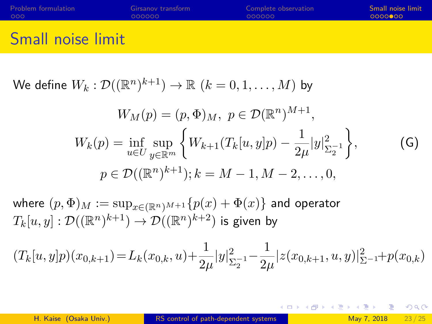<span id="page-22-0"></span>

| Problem formulation | Girsanov transform | Complete observation | Small noise limit |
|---------------------|--------------------|----------------------|-------------------|
| 000                 | 000000             | 000000               | 00000000          |
|                     |                    |                      |                   |

# Small noise limit

We define  $W_k: \mathcal{D}((\mathbb{R}^n)^{k+1}) \to \mathbb{R} \,\, (k=0,1,\ldots,M)$  by

$$
W_M(p) = (p, \Phi)_M, \ p \in \mathcal{D}(\mathbb{R}^n)^{M+1},
$$
  
\n
$$
W_k(p) = \inf_{u \in U} \sup_{y \in \mathbb{R}^m} \left\{ W_{k+1}(T_k[u, y]p) - \frac{1}{2\mu} |y|_{\Sigma_2^{-1}}^2 \right\},
$$
  
\n
$$
p \in \mathcal{D}((\mathbb{R}^n)^{k+1}); k = M - 1, M - 2, ..., 0,
$$
\n(G)

where  $(p, \Phi)_M := \sup_{x \in (\mathbb{R}^n)^{M+1}} \{p(x) + \Phi(x)\}\$  and operator  $T_k[u,y]:\mathcal{D}((\mathbb{R}^n)^{k+1})\to \mathcal{D}((\mathbb{R}^n)^{k+2})$  is given by

$$
(T_k[u,y]p)(x_{0,k+1}) = L_k(x_{0,k},u) + \frac{1}{2\mu}|y|_{\Sigma_2^{-1}}^2 - \frac{1}{2\mu}|z(x_{0,k+1},u,y)|_{\Sigma_2^{-1}}^2 + p(x_{0,k})
$$

K □ ▶ K @ ▶ K 로 ▶ K 로 ▶ \_ 로 \_ K 9 Q @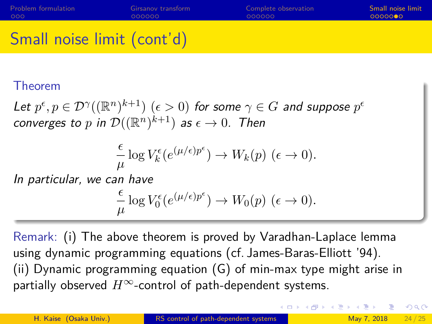# <span id="page-23-0"></span>Small noise limit (cont'd)

#### Theorem

Let  $p^{\epsilon}, p \in \mathcal{D}^{\gamma}((\mathbb{R}^n)^{k+1})$   $(\epsilon > 0)$  for some  $\gamma \in G$  and suppose  $p^{\epsilon}$ converges to  $p$  in  $\mathcal{D}((\mathbb{R}^n)^{k+1})$  as  $\epsilon\to 0.$  Then

$$
\frac{\epsilon}{\mu} \log V_k^{\epsilon} (e^{(\mu/\epsilon)p^{\epsilon}}) \to W_k(p) \ (\epsilon \to 0).
$$

In particular, we can have

$$
\frac{\epsilon}{\mu} \log V_0^\epsilon(e^{(\mu/\epsilon)p^\epsilon}) \to W_0(p) \ (\epsilon \to 0).
$$

Remark: (i) The above theorem is proved by Varadhan-Laplace lemma using dynamic programming equations (cf. James-Baras-Elliott '94). (ii) Dynamic programming equation (G) of min-max type might arise in partially observed  $H^{\infty}$ -control of path-dependent systems.

K ロ > K 個 > K 할 > K 할 > 1 할 > 1 이익어